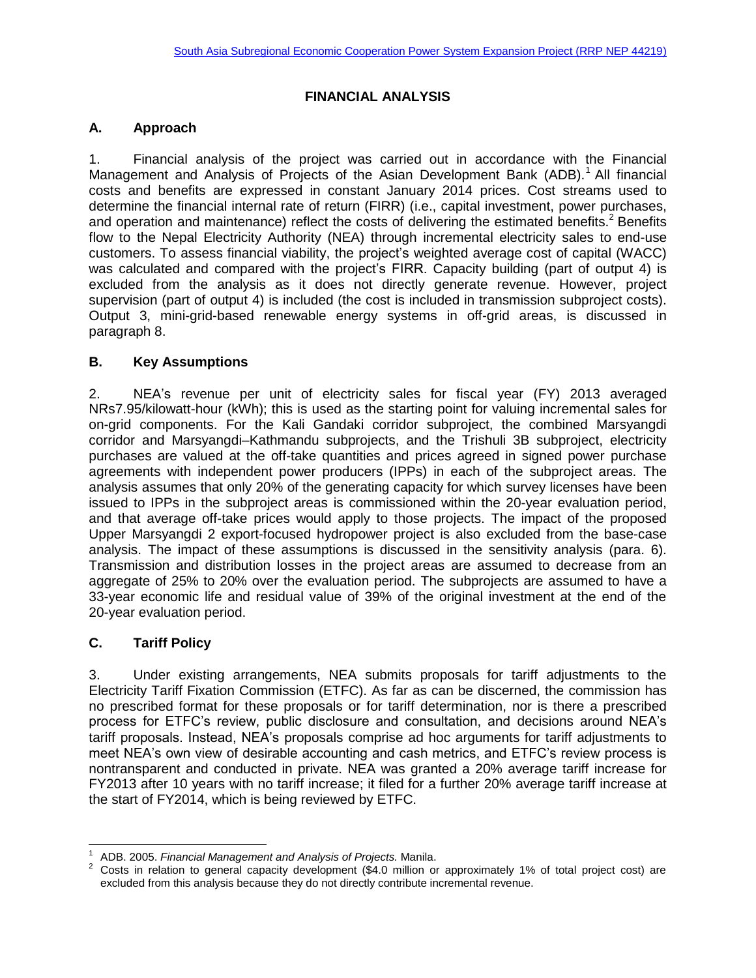## **FINANCIAL ANALYSIS**

## **A. Approach**

1. Financial analysis of the project was carried out in accordance with the Financial Management and Analysis of Projects of the Asian Development Bank (ADB).<sup>1</sup> All financial costs and benefits are expressed in constant January 2014 prices. Cost streams used to determine the financial internal rate of return (FIRR) (i.e., capital investment, power purchases, and operation and maintenance) reflect the costs of delivering the estimated benefits.<sup>2</sup> Benefits flow to the Nepal Electricity Authority (NEA) through incremental electricity sales to end-use customers. To assess financial viability, the project's weighted average cost of capital (WACC) was calculated and compared with the project's FIRR. Capacity building (part of output 4) is excluded from the analysis as it does not directly generate revenue. However, project supervision (part of output 4) is included (the cost is included in transmission subproject costs). Output 3, mini-grid-based renewable energy systems in off-grid areas, is discussed in paragraph 8.

## **B. Key Assumptions**

2. NEA's revenue per unit of electricity sales for fiscal year (FY) 2013 averaged NRs7.95/kilowatt-hour (kWh); this is used as the starting point for valuing incremental sales for on-grid components. For the Kali Gandaki corridor subproject, the combined Marsyangdi corridor and Marsyangdi–Kathmandu subprojects, and the Trishuli 3B subproject, electricity purchases are valued at the off-take quantities and prices agreed in signed power purchase agreements with independent power producers (IPPs) in each of the subproject areas. The analysis assumes that only 20% of the generating capacity for which survey licenses have been issued to IPPs in the subproject areas is commissioned within the 20-year evaluation period, and that average off-take prices would apply to those projects. The impact of the proposed Upper Marsyangdi 2 export-focused hydropower project is also excluded from the base-case analysis. The impact of these assumptions is discussed in the sensitivity analysis (para. 6). Transmission and distribution losses in the project areas are assumed to decrease from an aggregate of 25% to 20% over the evaluation period. The subprojects are assumed to have a 33-year economic life and residual value of 39% of the original investment at the end of the 20-year evaluation period.

### **C. Tariff Policy**

j

3. Under existing arrangements, NEA submits proposals for tariff adjustments to the Electricity Tariff Fixation Commission (ETFC). As far as can be discerned, the commission has no prescribed format for these proposals or for tariff determination, nor is there a prescribed process for ETFC's review, public disclosure and consultation, and decisions around NEA's tariff proposals. Instead, NEA's proposals comprise ad hoc arguments for tariff adjustments to meet NEA's own view of desirable accounting and cash metrics, and ETFC's review process is nontransparent and conducted in private. NEA was granted a 20% average tariff increase for FY2013 after 10 years with no tariff increase; it filed for a further 20% average tariff increase at the start of FY2014, which is being reviewed by ETFC.

<sup>1</sup> ADB. 2005. *Financial Management and Analysis of Projects.* Manila.

<sup>2</sup> Costs in relation to general capacity development (\$4.0 million or approximately 1% of total project cost) are excluded from this analysis because they do not directly contribute incremental revenue.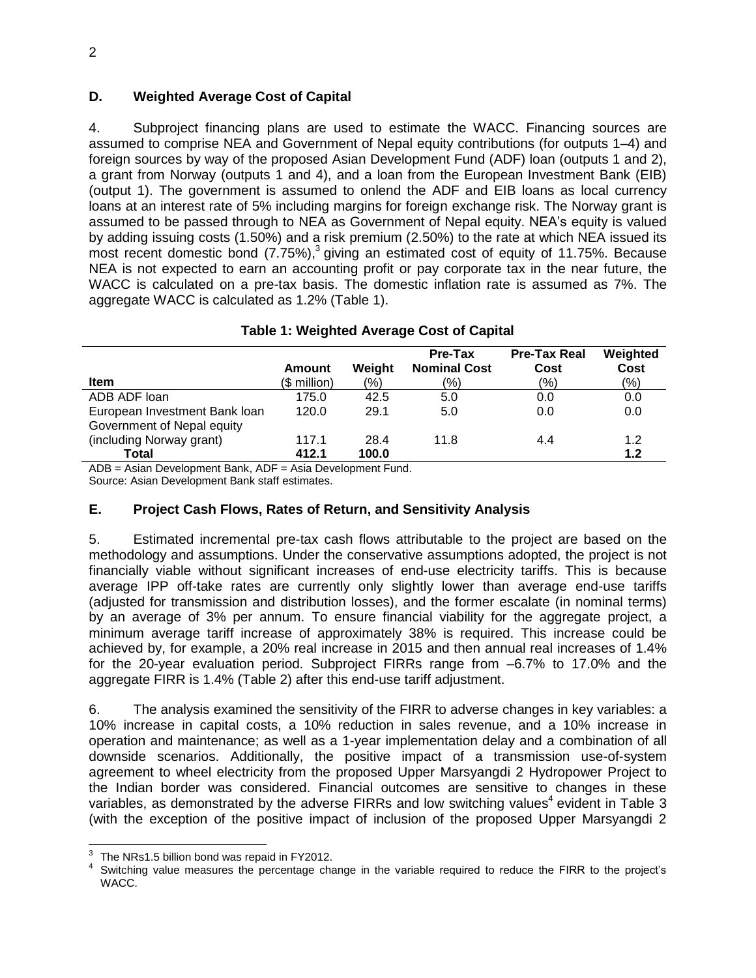## **D. Weighted Average Cost of Capital**

4. Subproject financing plans are used to estimate the WACC. Financing sources are assumed to comprise NEA and Government of Nepal equity contributions (for outputs 1–4) and foreign sources by way of the proposed Asian Development Fund (ADF) loan (outputs 1 and 2), a grant from Norway (outputs 1 and 4), and a loan from the European Investment Bank (EIB) (output 1). The government is assumed to onlend the ADF and EIB loans as local currency loans at an interest rate of 5% including margins for foreign exchange risk. The Norway grant is assumed to be passed through to NEA as Government of Nepal equity. NEA's equity is valued by adding issuing costs (1.50%) and a risk premium (2.50%) to the rate at which NEA issued its most recent domestic bond (7.75%),<sup>3</sup> giving an estimated cost of equity of 11.75%. Because NEA is not expected to earn an accounting profit or pay corporate tax in the near future, the WACC is calculated on a pre-tax basis. The domestic inflation rate is assumed as 7%. The aggregate WACC is calculated as 1.2% (Table 1).

|                                               | Amount       | Weight  | Pre-Tax<br><b>Nominal Cost</b> | <b>Pre-Tax Real</b><br>Cost | Weighted<br>Cost |
|-----------------------------------------------|--------------|---------|--------------------------------|-----------------------------|------------------|
| <b>Item</b>                                   | (\$ million) | $(\% )$ | $\frac{(9)}{0}$                | (%)                         | (%)              |
| ADB ADF loan                                  | 175.0        | 42.5    | 5.0                            | 0.0                         | 0.0              |
| European Investment Bank loan                 | 120.0        | 29.1    | 5.0                            | 0.0                         | 0.0              |
| Government of Nepal equity                    |              |         |                                |                             |                  |
| (including Norway grant)                      | 117.1        | 28.4    | 11.8                           | 4.4                         | 1.2              |
| Total<br>$\sim$ $\sim$ $\sim$<br>--<br>$\sim$ | 412.1        | 100.0   |                                |                             | 1.2              |

### **Table 1: Weighted Average Cost of Capital**

ADB = Asian Development Bank, ADF = Asia Development Fund.

Source: Asian Development Bank staff estimates.

### **E. Project Cash Flows, Rates of Return, and Sensitivity Analysis**

5. Estimated incremental pre-tax cash flows attributable to the project are based on the methodology and assumptions. Under the conservative assumptions adopted, the project is not financially viable without significant increases of end-use electricity tariffs. This is because average IPP off-take rates are currently only slightly lower than average end-use tariffs (adjusted for transmission and distribution losses), and the former escalate (in nominal terms) by an average of 3% per annum. To ensure financial viability for the aggregate project, a minimum average tariff increase of approximately 38% is required. This increase could be achieved by, for example, a 20% real increase in 2015 and then annual real increases of 1.4% for the 20-year evaluation period. Subproject FIRRs range from –6.7% to 17.0% and the aggregate FIRR is 1.4% (Table 2) after this end-use tariff adjustment.

6. The analysis examined the sensitivity of the FIRR to adverse changes in key variables: a 10% increase in capital costs, a 10% reduction in sales revenue, and a 10% increase in operation and maintenance; as well as a 1-year implementation delay and a combination of all downside scenarios. Additionally, the positive impact of a transmission use-of-system agreement to wheel electricity from the proposed Upper Marsyangdi 2 Hydropower Project to the Indian border was considered. Financial outcomes are sensitive to changes in these variables, as demonstrated by the adverse FIRRs and low switching values<sup>4</sup> evident in Table 3 (with the exception of the positive impact of inclusion of the proposed Upper Marsyangdi 2

 3 The NRs1.5 billion bond was repaid in FY2012.

<sup>4</sup> Switching value measures the percentage change in the variable required to reduce the FIRR to the project's WACC.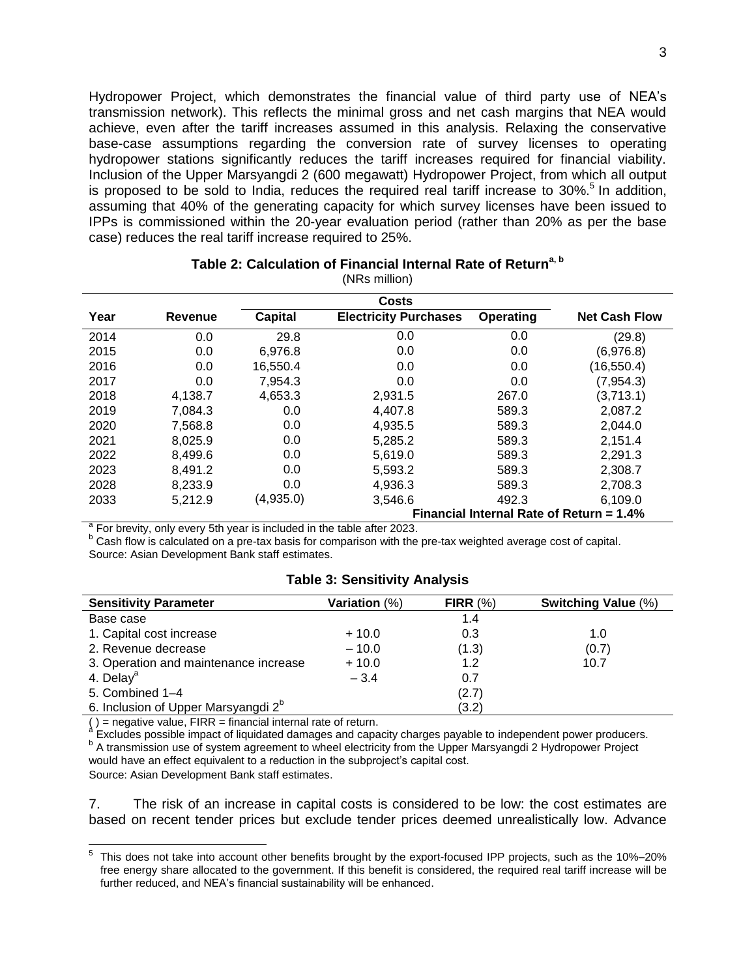Hydropower Project, which demonstrates the financial value of third party use of NEA's transmission network). This reflects the minimal gross and net cash margins that NEA would achieve, even after the tariff increases assumed in this analysis. Relaxing the conservative base-case assumptions regarding the conversion rate of survey licenses to operating hydropower stations significantly reduces the tariff increases required for financial viability. Inclusion of the Upper Marsyangdi 2 (600 megawatt) Hydropower Project, from which all output is proposed to be sold to India, reduces the required real tariff increase to 30%.<sup>5</sup> In addition, assuming that 40% of the generating capacity for which survey licenses have been issued to IPPs is commissioned within the 20-year evaluation period (rather than 20% as per the base case) reduces the real tariff increase required to 25%.

| (UNINS THIIIIUH) |                                          |                |                              |           |                      |  |  |
|------------------|------------------------------------------|----------------|------------------------------|-----------|----------------------|--|--|
|                  |                                          |                |                              |           |                      |  |  |
| Year             | <b>Revenue</b>                           | <b>Capital</b> | <b>Electricity Purchases</b> | Operating | <b>Net Cash Flow</b> |  |  |
| 2014             | 0.0                                      | 29.8           | 0.0                          | 0.0       | (29.8)               |  |  |
| 2015             | 0.0                                      | 6,976.8        | 0.0                          | 0.0       | (6,976.8)            |  |  |
| 2016             | 0.0                                      | 16,550.4       | 0.0                          | 0.0       | (16, 550.4)          |  |  |
| 2017             | 0.0                                      | 7,954.3        | 0.0                          | 0.0       | (7, 954.3)           |  |  |
| 2018             | 4,138.7                                  | 4,653.3        | 2,931.5                      | 267.0     | (3,713.1)            |  |  |
| 2019             | 7,084.3                                  | 0.0            | 4,407.8                      | 589.3     | 2,087.2              |  |  |
| 2020             | 7,568.8                                  | 0.0            | 4,935.5                      | 589.3     | 2,044.0              |  |  |
| 2021             | 8,025.9                                  | 0.0            | 5,285.2                      | 589.3     | 2,151.4              |  |  |
| 2022             | 8,499.6                                  | 0.0            | 5,619.0                      | 589.3     | 2,291.3              |  |  |
| 2023             | 8,491.2                                  | 0.0            | 5,593.2                      | 589.3     | 2,308.7              |  |  |
| 2028             | 8,233.9                                  | 0.0            | 4,936.3                      | 589.3     | 2,708.3              |  |  |
| 2033             | 5,212.9                                  | (4,935.0)      | 3,546.6                      | 492.3     | 6,109.0              |  |  |
|                  | Financial Internal Rate of Return = 1.4% |                |                              |           |                      |  |  |

#### **Table 2: Calculation of Financial Internal Rate of Returna, <sup>b</sup>**  $(NDc$  million)

<sup>a</sup> For brevity, only every 5th year is included in the table after 2023.

b Cash flow is calculated on a pre-tax basis for comparison with the pre-tax weighted average cost of capital. Source: Asian Development Bank staff estimates.

### **Table 3: Sensitivity Analysis**

| <b>Sensitivity Parameter</b>                    | <b>Variation</b> (%) | FIRR $(%)$ | Switching Value (%) |
|-------------------------------------------------|----------------------|------------|---------------------|
| Base case                                       |                      | 1.4        |                     |
| 1. Capital cost increase                        | $+10.0$              | 0.3        | 1.0                 |
| 2. Revenue decrease                             | $-10.0$              | (1.3)      | (0.7)               |
| 3. Operation and maintenance increase           | $+10.0$              | 1.2        | 10.7                |
| 4. Delay <sup>a</sup>                           | $-3.4$               | 0.7        |                     |
| 5. Combined 1-4                                 |                      | (2.7)      |                     |
| 6. Inclusion of Upper Marsyangdi 2 <sup>b</sup> |                      | (3.2)      |                     |

( ) = negative value, FIRR = financial internal rate of return.<br>ª Excludes possible impact of liquidated damages and capacity charges payable to independent power producers. <sup>b</sup> A transmission use of system agreement to wheel electricity from the Upper Marsyangdi 2 Hydropower Project would have an effect equivalent to a reduction in the subproject's capital cost.

Source: Asian Development Bank staff estimates.

7. The risk of an increase in capital costs is considered to be low: the cost estimates are based on recent tender prices but exclude tender prices deemed unrealistically low. Advance

 5 This does not take into account other benefits brought by the export-focused IPP projects, such as the 10%–20% free energy share allocated to the government. If this benefit is considered, the required real tariff increase will be further reduced, and NEA's financial sustainability will be enhanced.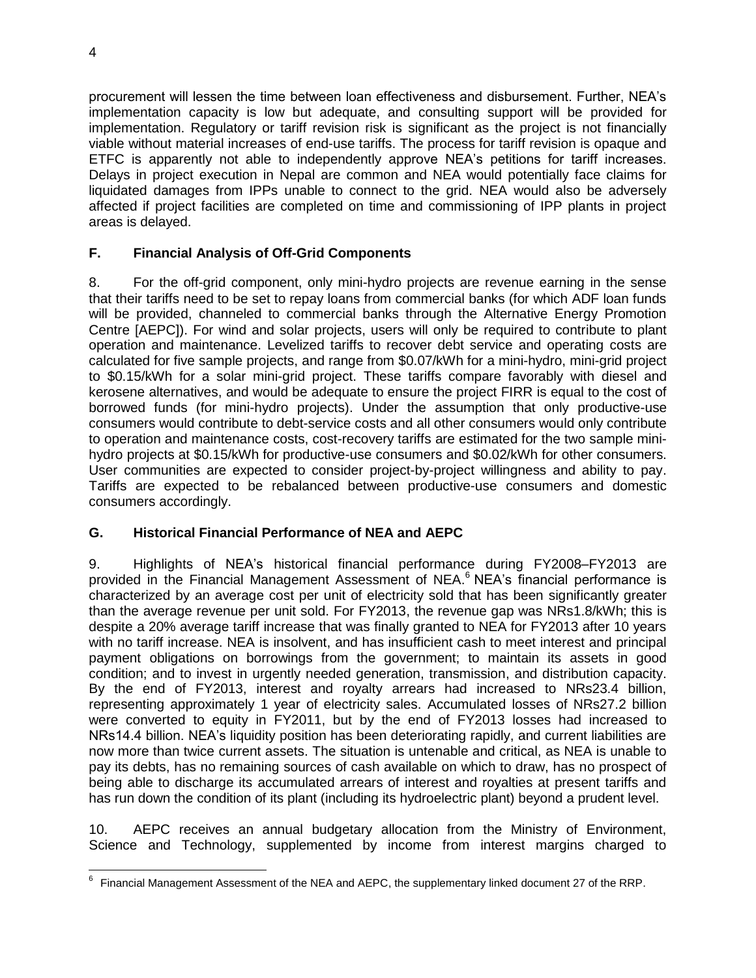procurement will lessen the time between loan effectiveness and disbursement. Further, NEA's implementation capacity is low but adequate, and consulting support will be provided for implementation. Regulatory or tariff revision risk is significant as the project is not financially viable without material increases of end-use tariffs. The process for tariff revision is opaque and ETFC is apparently not able to independently approve NEA's petitions for tariff increases. Delays in project execution in Nepal are common and NEA would potentially face claims for liquidated damages from IPPs unable to connect to the grid. NEA would also be adversely affected if project facilities are completed on time and commissioning of IPP plants in project areas is delayed.

## **F. Financial Analysis of Off-Grid Components**

8. For the off-grid component, only mini-hydro projects are revenue earning in the sense that their tariffs need to be set to repay loans from commercial banks (for which ADF loan funds will be provided, channeled to commercial banks through the Alternative Energy Promotion Centre [AEPC]). For wind and solar projects, users will only be required to contribute to plant operation and maintenance. Levelized tariffs to recover debt service and operating costs are calculated for five sample projects, and range from \$0.07/kWh for a mini-hydro, mini-grid project to \$0.15/kWh for a solar mini-grid project. These tariffs compare favorably with diesel and kerosene alternatives, and would be adequate to ensure the project FIRR is equal to the cost of borrowed funds (for mini-hydro projects). Under the assumption that only productive-use consumers would contribute to debt-service costs and all other consumers would only contribute to operation and maintenance costs, cost-recovery tariffs are estimated for the two sample minihydro projects at \$0.15/kWh for productive-use consumers and \$0.02/kWh for other consumers. User communities are expected to consider project-by-project willingness and ability to pay. Tariffs are expected to be rebalanced between productive-use consumers and domestic consumers accordingly.

## **G. Historical Financial Performance of NEA and AEPC**

9. Highlights of NEA's historical financial performance during FY2008–FY2013 are provided in the Financial Management Assessment of NEA.<sup>6</sup> NEA's financial performance is characterized by an average cost per unit of electricity sold that has been significantly greater than the average revenue per unit sold. For FY2013, the revenue gap was NRs1.8/kWh; this is despite a 20% average tariff increase that was finally granted to NEA for FY2013 after 10 years with no tariff increase. NEA is insolvent, and has insufficient cash to meet interest and principal payment obligations on borrowings from the government; to maintain its assets in good condition; and to invest in urgently needed generation, transmission, and distribution capacity. By the end of FY2013, interest and royalty arrears had increased to NRs23.4 billion, representing approximately 1 year of electricity sales. Accumulated losses of NRs27.2 billion were converted to equity in FY2011, but by the end of FY2013 losses had increased to NRs14.4 billion. NEA's liquidity position has been deteriorating rapidly, and current liabilities are now more than twice current assets. The situation is untenable and critical, as NEA is unable to pay its debts, has no remaining sources of cash available on which to draw, has no prospect of being able to discharge its accumulated arrears of interest and royalties at present tariffs and has run down the condition of its plant (including its hydroelectric plant) beyond a prudent level.

10. AEPC receives an annual budgetary allocation from the Ministry of Environment, Science and Technology, supplemented by income from interest margins charged to

 6 Financial Management Assessment of the NEA and AEPC, the supplementary linked document 27 of the RRP.